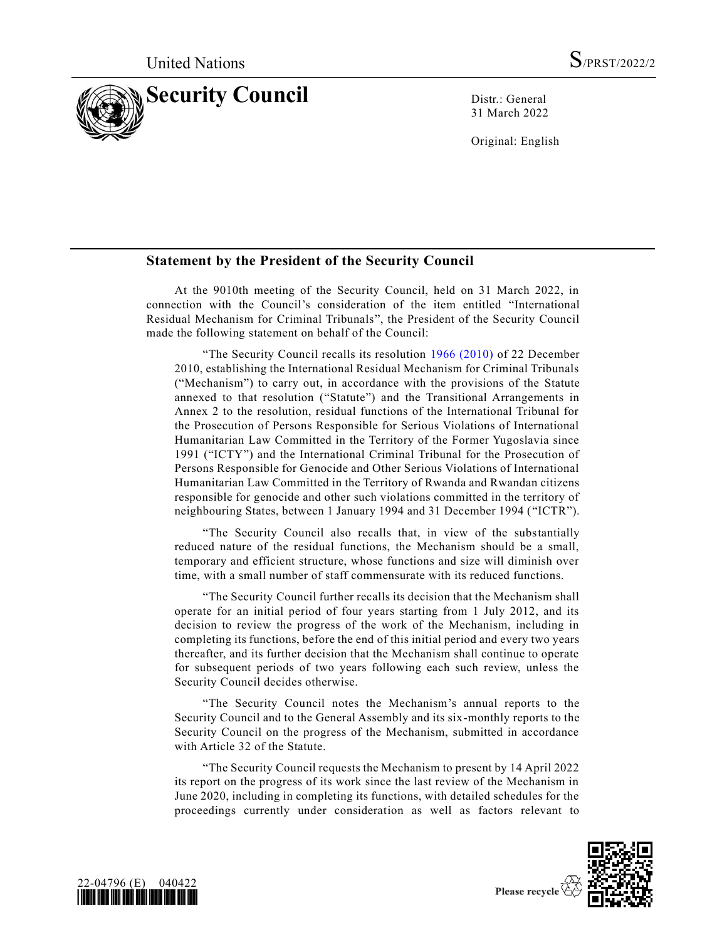

31 March 2022

Original: English

## **Statement by the President of the Security Council**

At the 9010th meeting of the Security Council, held on 31 March 2022, in connection with the Council's consideration of the item entitled "International Residual Mechanism for Criminal Tribunals", the President of the Security Council made the following statement on behalf of the Council:

"The Security Council recalls its resolution  $1966$  (2010) of 22 December 2010, establishing the International Residual Mechanism for Criminal Tribunals ("Mechanism") to carry out, in accordance with the provisions of the Statute annexed to that resolution ("Statute") and the Transitional Arrangements in Annex 2 to the resolution, residual functions of the International Tribunal for the Prosecution of Persons Responsible for Serious Violations of International Humanitarian Law Committed in the Territory of the Former Yugoslavia since 1991 ("ICTY") and the International Criminal Tribunal for the Prosecution of Persons Responsible for Genocide and Other Serious Violations of International Humanitarian Law Committed in the Territory of Rwanda and Rwandan citizens responsible for genocide and other such violations committed in the territory of neighbouring States, between 1 January 1994 and 31 December 1994 ( "ICTR").

"The Security Council also recalls that, in view of the substantially reduced nature of the residual functions, the Mechanism should be a small, temporary and efficient structure, whose functions and size will diminish over time, with a small number of staff commensurate with its reduced functions.

"The Security Council further recalls its decision that the Mechanism shall operate for an initial period of four years starting from 1 July 2012, and its decision to review the progress of the work of the Mechanism, including in completing its functions, before the end of this initial period and every two years thereafter, and its further decision that the Mechanism shall continue to operate for subsequent periods of two years following each such review, unless the Security Council decides otherwise.

"The Security Council notes the Mechanism's annual reports to the Security Council and to the General Assembly and its six-monthly reports to the Security Council on the progress of the Mechanism, submitted in accordance with Article 32 of the Statute.

"The Security Council requests the Mechanism to present by 14 April 2022 its report on the progress of its work since the last review of the Mechanism in June 2020, including in completing its functions, with detailed schedules for the proceedings currently under consideration as well as factors relevant to